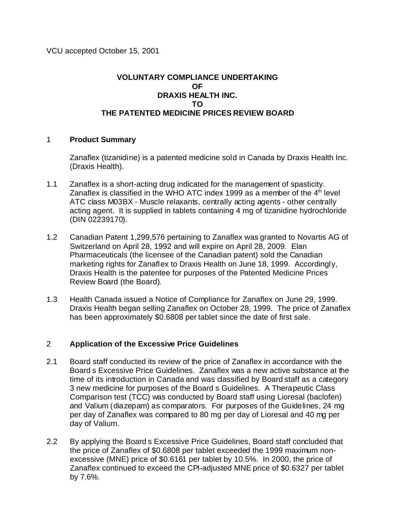## **VOLUNTARY COMPLIANCE UNDERTAKING OF DRAXIS HEALTH INC. TO THE PATENTED MEDICINE PRICES REVIEW BOARD**

## 1 **Product Summary**

Zanaflex (tizanidine) is a patented medicine sold in Canada by Draxis Health Inc. (Draxis Health).

- 1.1 Zanaflex is a short-acting drug indicated for the management of spasticity. Zanaflex is classified in the WHO ATC index 1999 as a member of the  $4<sup>th</sup>$  level ATC class M03BX - Muscle relaxants, centrally acting agents - other centrally acting agent. It is supplied in tablets containing 4 mg of tizanidine hydrochloride (DIN 02239170).
- 1.2 Canadian Patent 1,299,576 pertaining to Zanaflex was granted to Novartis AG of Switzerland on April 28, 1992 and will expire on April 28, 2009. Elan Pharmaceuticals (the licensee of the Canadian patent) sold the Canadian marketing rights for Zanaflex to Draxis Health on June 18, 1999. Accordingly, Draxis Health is the patentee for purposes of the Patented Medicine Prices Review Board (the Board).
- 1.3 Health Canada issued a Notice of Compliance for Zanaflex on June 29, 1999. Draxis Health began selling Zanaflex on October 28, 1999. The price of Zanaflex has been approximately \$0.6808 per tablet since the date of first sale.

## 2 **Application of the Excessive Price Guidelines**

- 2.1 Board staff conducted its review of the price of Zanaflex in accordance with the Board s Excessive Price Guidelines. Zanaflex was a new active substance at the time of its introduction in Canada and was classified by Board staff as a category 3 new medicine for purposes of the Board s Guidelines. A Therapeutic Class Comparison test (TCC) was conducted by Board staff using Lioresal (baclofen) and Valium (diazepam) as comparators. For purposes of the Guidelines, 24 mg per day of Zanaflex was compared to 80 mg per day of Lioresal and 40 mg per day of Valium.
- 2.2 By applying the Board s Excessive Price Guidelines, Board staff concluded that the price of Zanaflex of \$0.6808 per tablet exceeded the 1999 maximum nonexcessive (MNE) price of \$0.6161 per tablet by 10.5%. In 2000, the price of Zanaflex continued to exceed the CPI-adjusted MNE price of \$0.6327 per tablet by 7.6%.